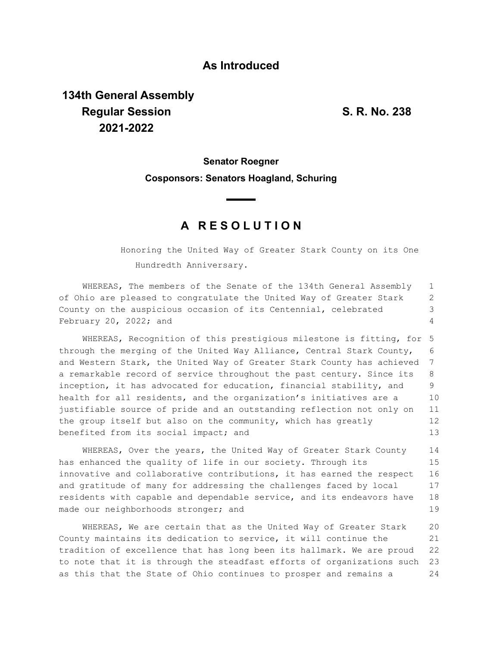#### **As Introduced**

# **134th General Assembly Regular Session S. R. No. 238 2021-2022**

## **Senator Roegner Cosponsors: Senators Hoagland, Schuring**

### **A R E S O L U T I O N**

Honoring the United Way of Greater Stark County on its One Hundredth Anniversary.

WHEREAS, The members of the Senate of the 134th General Assembly of Ohio are pleased to congratulate the United Way of Greater Stark County on the auspicious occasion of its Centennial, celebrated February 20, 2022; and 1 2 3 4

WHEREAS, Recognition of this prestigious milestone is fitting, for 5 through the merging of the United Way Alliance, Central Stark County, and Western Stark, the United Way of Greater Stark County has achieved a remarkable record of service throughout the past century. Since its inception, it has advocated for education, financial stability, and health for all residents, and the organization's initiatives are a justifiable source of pride and an outstanding reflection not only on the group itself but also on the community, which has greatly benefited from its social impact; and 6 7 8  $\mathsf{Q}$ 10 11 12 13

WHEREAS, Over the years, the United Way of Greater Stark County has enhanced the quality of life in our society. Through its innovative and collaborative contributions, it has earned the respect and gratitude of many for addressing the challenges faced by local residents with capable and dependable service, and its endeavors have made our neighborhoods stronger; and 14 15 16 17 18 19

WHEREAS, We are certain that as the United Way of Greater Stark County maintains its dedication to service, it will continue the tradition of excellence that has long been its hallmark. We are proud to note that it is through the steadfast efforts of organizations such as this that the State of Ohio continues to prosper and remains a 20 21 22 23 24